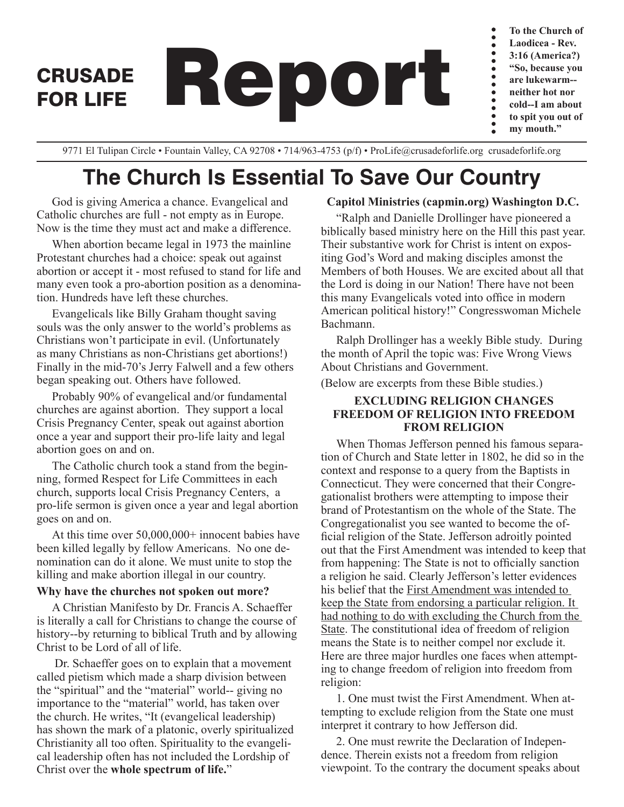**To the Church of Laodicea - Rev.**  $\bullet$  $\bullet$ **3:16 (America?) "So, because you are lukewarm- neither hot nor**  $\bullet$ **cold--I am about to spit you out of my mouth."**

9771 El Tulipan Circle • Fountain Valley, CA 92708 • 714/963-4753 (p/f) • ProLife@crusadeforlife.org crusadeforlife.org

CRUSADE Report

# **The Church Is Essential To Save Our Country**

God is giving America a chance. Evangelical and Catholic churches are full - not empty as in Europe. Now is the time they must act and make a difference.

FOR LIFE

When abortion became legal in 1973 the mainline Protestant churches had a choice: speak out against abortion or accept it - most refused to stand for life and many even took a pro-abortion position as a denomination. Hundreds have left these churches.

Evangelicals like Billy Graham thought saving souls was the only answer to the world's problems as Christians won't participate in evil. (Unfortunately as many Christians as non-Christians get abortions!) Finally in the mid-70's Jerry Falwell and a few others began speaking out. Others have followed.

Probably 90% of evangelical and/or fundamental churches are against abortion. They support a local Crisis Pregnancy Center, speak out against abortion once a year and support their pro-life laity and legal abortion goes on and on.

The Catholic church took a stand from the beginning, formed Respect for Life Committees in each church, supports local Crisis Pregnancy Centers, a pro-life sermon is given once a year and legal abortion goes on and on.

At this time over 50,000,000+ innocent babies have been killed legally by fellow Americans. No one denomination can do it alone. We must unite to stop the killing and make abortion illegal in our country.

#### **Why have the churches not spoken out more?**

A Christian Manifesto by Dr. Francis A. Schaeffer is literally a call for Christians to change the course of history--by returning to biblical Truth and by allowing Christ to be Lord of all of life.

 Dr. Schaeffer goes on to explain that a movement called pietism which made a sharp division between the "spiritual" and the "material" world-- giving no importance to the "material" world, has taken over the church. He writes, "It (evangelical leadership) has shown the mark of a platonic, overly spiritualized Christianity all too often. Spirituality to the evangelical leadership often has not included the Lordship of Christ over the **whole spectrum of life.**"

### **Capitol Ministries (capmin.org) Washington D.C.**

"Ralph and Danielle Drollinger have pioneered a biblically based ministry here on the Hill this past year. Their substantive work for Christ is intent on expositing God's Word and making disciples amonst the Members of both Houses. We are excited about all that the Lord is doing in our Nation! There have not been this many Evangelicals voted into office in modern American political history!" Congresswoman Michele Bachmann.

Ralph Drollinger has a weekly Bible study. During the month of April the topic was: Five Wrong Views About Christians and Government.

(Below are excerpts from these Bible studies.)

### **EXCLUDING RELIGION CHANGES FREEDOM OF RELIGION INTO FREEDOM FROM RELIGION**

When Thomas Jefferson penned his famous separation of Church and State letter in 1802, he did so in the context and response to a query from the Baptists in Connecticut. They were concerned that their Congregationalist brothers were attempting to impose their brand of Protestantism on the whole of the State. The Congregationalist you see wanted to become the official religion of the State. Jefferson adroitly pointed out that the First Amendment was intended to keep that from happening: The State is not to officially sanction a religion he said. Clearly Jefferson's letter evidences his belief that the First Amendment was intended to keep the State from endorsing a particular religion. It had nothing to do with excluding the Church from the State. The constitutional idea of freedom of religion means the State is to neither compel nor exclude it. Here are three major hurdles one faces when attempting to change freedom of religion into freedom from religion:

1. One must twist the First Amendment. When attempting to exclude religion from the State one must interpret it contrary to how Jefferson did.

2. One must rewrite the Declaration of Independence. Therein exists not a freedom from religion viewpoint. To the contrary the document speaks about